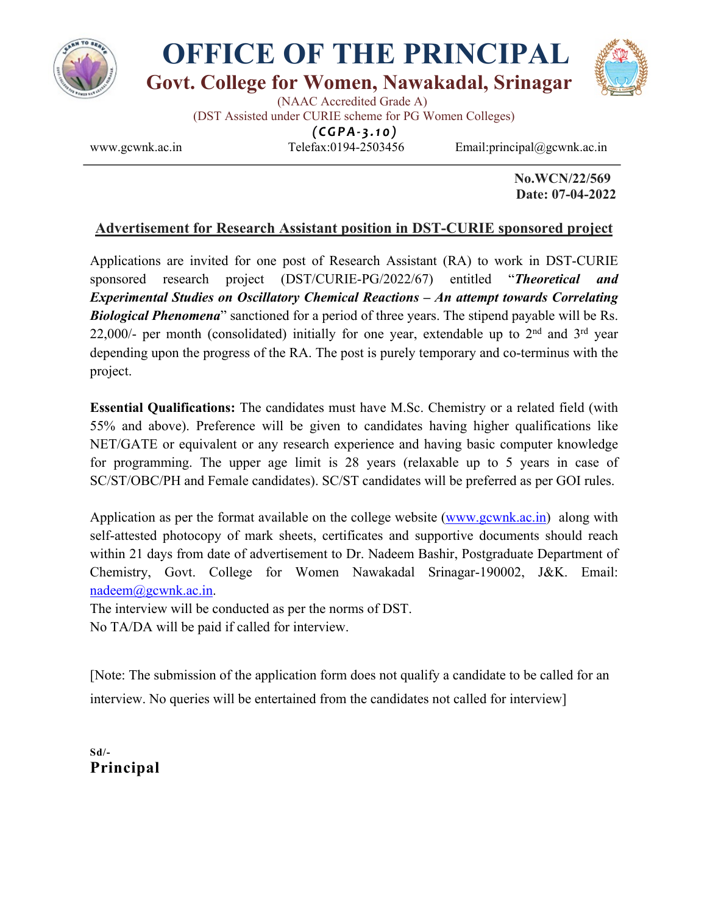

## **OFFICE OF THE PRINCIPAL Govt. College for Women, Nawakadal, Srinagar**



 (NAAC Accredited Grade A) (DST Assisted under CURIE scheme for PG Women Colleges)

*(CGPA- 3.10)*

 $\overline{a}$ 

www.gcwnk.ac.in Telefax:0194-2503456 Email:principal@gcwnk.ac.in

 **No.WCN/22/569 Date: 07-04-2022**

## **Advertisement for Research Assistant position in DST-CURIE sponsored project**

Applications are invited for one post of Research Assistant (RA) to work in DST-CURIE sponsored research project (DST/CURIE-PG/2022/67) entitled "*Theoretical and Experimental Studies on Oscillatory Chemical Reactions – An attempt towards Correlating Biological Phenomena*" sanctioned for a period of three years. The stipend payable will be Rs. 22,000/- per month (consolidated) initially for one year, extendable up to  $2<sup>nd</sup>$  and  $3<sup>rd</sup>$  year depending upon the progress of the RA. The post is purely temporary and co-terminus with the project.

**Essential Qualifications:** The candidates must have M.Sc. Chemistry or a related field (with 55% and above). Preference will be given to candidates having higher qualifications like NET/GATE or equivalent or any research experience and having basic computer knowledge for programming. The upper age limit is 28 years (relaxable up to 5 years in case of SC/ST/OBC/PH and Female candidates). SC/ST candidates will be preferred as per GOI rules.

Application as per the format available on the college website (www.gcwnk.ac.in) along with self-attested photocopy of mark sheets, certificates and supportive documents should reach within 21 days from date of advertisement to Dr. Nadeem Bashir, Postgraduate Department of Chemistry, Govt. College for Women Nawakadal Srinagar-190002, J&K. Email: nadeem@gcwnk.ac.in.

The interview will be conducted as per the norms of DST. No TA/DA will be paid if called for interview.

[Note: The submission of the application form does not qualify a candidate to be called for an interview. No queries will be entertained from the candidates not called for interview]

**Sd/- Principal**